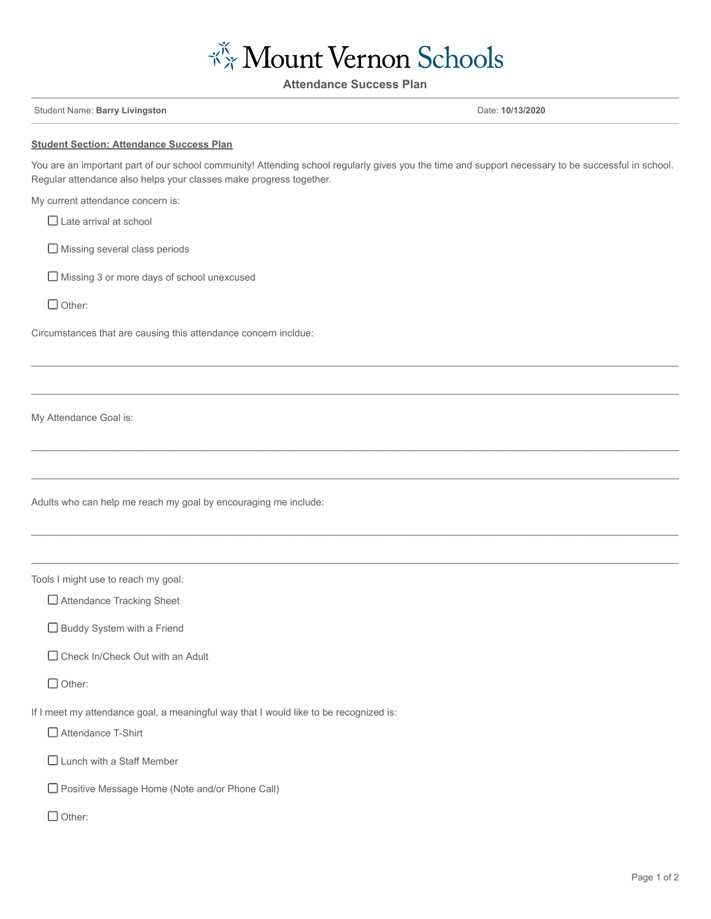

**Attendance Success Plan**

Student Name: **Barry Livingston** Date: **10/13/2020**

## **Student Section: Attendance Success Plan**

You are an important part of our school community! Attending school regularly gives you the time and support necessary to be successful in school. Regular attendance also helps your classes make progress together.

 $\mathcal{L} = \{ \mathcal{L} = \{ \mathcal{L} = \{ \mathcal{L} = \{ \mathcal{L} = \{ \mathcal{L} = \{ \mathcal{L} = \{ \mathcal{L} = \{ \mathcal{L} = \{ \mathcal{L} = \{ \mathcal{L} = \{ \mathcal{L} = \{ \mathcal{L} = \{ \mathcal{L} = \{ \mathcal{L} = \{ \mathcal{L} = \{ \mathcal{L} = \{ \mathcal{L} = \{ \mathcal{L} = \{ \mathcal{L} = \{ \mathcal{L} = \{ \mathcal{L} = \{ \mathcal{L} = \{ \mathcal{L} = \{ \mathcal{$ 

 $\mathcal{L}_\mathcal{L} = \mathcal{L}_\mathcal{L} = \mathcal{L}_\mathcal{L} = \mathcal{L}_\mathcal{L} = \mathcal{L}_\mathcal{L} = \mathcal{L}_\mathcal{L} = \mathcal{L}_\mathcal{L} = \mathcal{L}_\mathcal{L} = \mathcal{L}_\mathcal{L} = \mathcal{L}_\mathcal{L} = \mathcal{L}_\mathcal{L} = \mathcal{L}_\mathcal{L} = \mathcal{L}_\mathcal{L} = \mathcal{L}_\mathcal{L} = \mathcal{L}_\mathcal{L} = \mathcal{L}_\mathcal{L} = \mathcal{L}_\mathcal{L}$ 

 $\mathcal{L}_\mathcal{L} = \mathcal{L}_\mathcal{L} = \mathcal{L}_\mathcal{L} = \mathcal{L}_\mathcal{L} = \mathcal{L}_\mathcal{L} = \mathcal{L}_\mathcal{L} = \mathcal{L}_\mathcal{L} = \mathcal{L}_\mathcal{L} = \mathcal{L}_\mathcal{L} = \mathcal{L}_\mathcal{L} = \mathcal{L}_\mathcal{L} = \mathcal{L}_\mathcal{L} = \mathcal{L}_\mathcal{L} = \mathcal{L}_\mathcal{L} = \mathcal{L}_\mathcal{L} = \mathcal{L}_\mathcal{L} = \mathcal{L}_\mathcal{L}$ 

 $\mathcal{L}_\mathcal{L} = \mathcal{L}_\mathcal{L} = \mathcal{L}_\mathcal{L} = \mathcal{L}_\mathcal{L} = \mathcal{L}_\mathcal{L} = \mathcal{L}_\mathcal{L} = \mathcal{L}_\mathcal{L} = \mathcal{L}_\mathcal{L} = \mathcal{L}_\mathcal{L} = \mathcal{L}_\mathcal{L} = \mathcal{L}_\mathcal{L} = \mathcal{L}_\mathcal{L} = \mathcal{L}_\mathcal{L} = \mathcal{L}_\mathcal{L} = \mathcal{L}_\mathcal{L} = \mathcal{L}_\mathcal{L} = \mathcal{L}_\mathcal{L}$ 

 $\mathcal{L}_\mathcal{L} = \mathcal{L}_\mathcal{L} = \mathcal{L}_\mathcal{L} = \mathcal{L}_\mathcal{L} = \mathcal{L}_\mathcal{L} = \mathcal{L}_\mathcal{L} = \mathcal{L}_\mathcal{L} = \mathcal{L}_\mathcal{L} = \mathcal{L}_\mathcal{L} = \mathcal{L}_\mathcal{L} = \mathcal{L}_\mathcal{L} = \mathcal{L}_\mathcal{L} = \mathcal{L}_\mathcal{L} = \mathcal{L}_\mathcal{L} = \mathcal{L}_\mathcal{L} = \mathcal{L}_\mathcal{L} = \mathcal{L}_\mathcal{L}$ 

 $\mathcal{L}_\mathcal{L} = \mathcal{L}_\mathcal{L} = \mathcal{L}_\mathcal{L} = \mathcal{L}_\mathcal{L} = \mathcal{L}_\mathcal{L} = \mathcal{L}_\mathcal{L} = \mathcal{L}_\mathcal{L} = \mathcal{L}_\mathcal{L} = \mathcal{L}_\mathcal{L} = \mathcal{L}_\mathcal{L} = \mathcal{L}_\mathcal{L} = \mathcal{L}_\mathcal{L} = \mathcal{L}_\mathcal{L} = \mathcal{L}_\mathcal{L} = \mathcal{L}_\mathcal{L} = \mathcal{L}_\mathcal{L} = \mathcal{L}_\mathcal{L}$ 

My current attendance concern is:

□ Late arrival at school

Missing several class periods

Missing 3 or more days of school unexcused

 $\Box$  Other:

Circumstances that are causing this attendance concern incldue:

My Attendance Goal is:

Adults who can help me reach my goal by encouraging me include:

Tools I might use to reach my goal:

□ Attendance Tracking Sheet

 $\square$  Buddy System with a Friend

□ Check In/Check Out with an Adult

Other:

If I meet my attendance goal, a meaningful way that I would like to be recognized is:

□ Attendance T-Shirt

□ Lunch with a Staff Member

□ Positive Message Home (Note and/or Phone Call)

 $\Box$  Other: